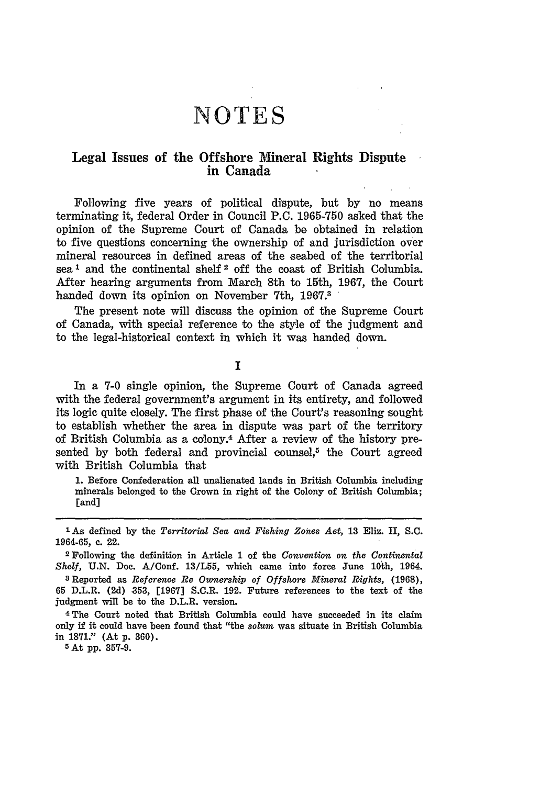# Legal Issues of the Offshore Mineral Rights Dispute in Canada

Following five years of political dispute, but **by** no means terminating it, federal Order in Council P.C. **1965-750** asked that the opinion of the Supreme Court of Canada be obtained in relation to five questions concerning the ownership of and jurisdiction over mineral resources in defined areas of the seabed of the territorial sea' and the continental shelf **2** off the coast of British Columbia. After hearing arguments from March 8th to 15th, 1967, the Court handed down its opinion on November 7th, **1967.<sup>3</sup>**

The present note will discuss the opinion of the Supreme Court of Canada, with special reference to the style of the judgment and to the legal-historical context in which it was handed down.

<sup>T</sup>

In a **7-0** single opinion, the Supreme Court of Canada agreed with the federal government's argument in its entirety, and followed its logic quite closely. The first phase of the Court's reasoning sought to establish whether the area in dispute was part of the territory of British Columbia as a colony.4 After a review of the history presented by both federal and provincial counsel, $5$  the Court agreed with British Columbia that

1. Before Confederation all unalienated lands in British Columbia including minerals belonged to the Crown in right of the Colony of British Columbia; [and]

Shelf, U.N. Doc. A/Conf. 13/L55, which came into force June 10th, 1964.

**8** Reported as *Reference Re Ownership of Offshore Mineral Rights,* **(1968),** 65 D.L.R. (2d) 853, [1967] S.C.R. 192. Future references to the text of the judgment will be to the D.L.R. version.

4 The Court noted that British Columbia could have succeeded in its claim only if it could have been found that "the *solum* was situate in British Columbia in **1871."** (At **p. 360). <sup>5</sup> At pp. 357-9.**

**<sup>1</sup>** As defined by the *Territorial Sea and Fishing Zones Act,* **13** Eliz. II, **S.C.** 1964-65, c. 22. 2 Following the definition in Article **1** of the *Convention on the Continental*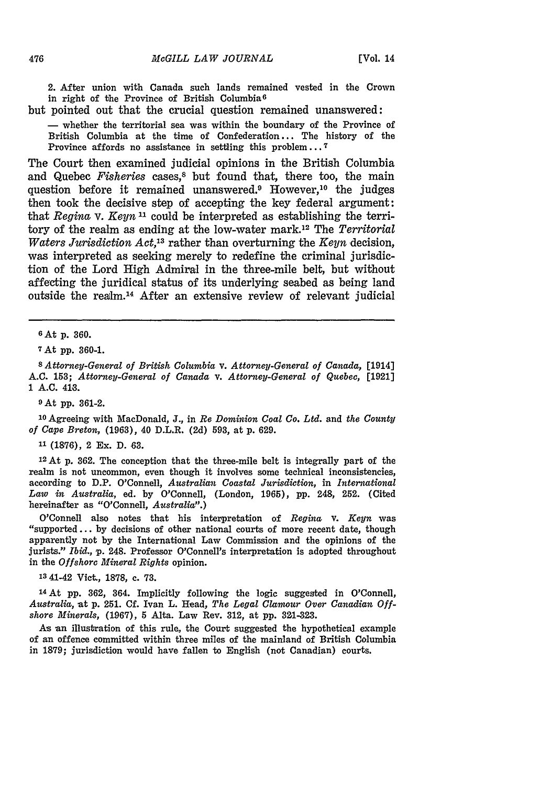2. After union with Canada such lands remained vested in the Crown in right of the Province of British Columbia <sup>6</sup>

but pointed out that the crucial question remained unanswered:

- whether the territorial sea was within the boundary of the Province of British Columbia at the time of Confederation... The history of the Province affords no assistance in settling this problem... **7**

The Court then examined judicial opinions in the British Columbia and Quebec *Fisheries* cases,<sup>8</sup> but found that, there too, the main question before it remained unanswered.<sup>9</sup> However,<sup>10</sup> the judges then took the decisive step of accepting the key federal argument: that *Regina* v. *Keyn*<sup>11</sup> could be interpreted as establishing the territory of the realm as ending at the low-water mark.'2 The *Territorial Waters Jurisdiction Act, <sup>3</sup>*rather than overturning the *Keyn* decision, was interpreted as seeking merely to redefine the criminal jurisdiction of the Lord High Admiral in the three-mile belt, but without affecting the juridical status of its underlying seabed as being land outside the realm.14 After an extensive review of relevant judicial

**<sup>7</sup>**At **pp. 360-1.**

*8 Attorney-General of British Columbia* v. *Attorney-General of Canada,* [1914] A.C. 153; *Attorney-General of Canada* v. *Attorney-General of Quebec,* [1921] 1 **A.C.** 416.

**9** At pp. **361-2.**

**<sup>10</sup>**Agreeing with MacDonald, **J.,** in *Re Dominion Coal Co. Ltd.* and *the County of Cape Breton,* (1963), 40 D.L.R. (2d) 593, at **p.** 629.

**11 (1876),** 2 Ex. D. 63.

**<sup>12</sup>**At p. 362. The conception that the three-mile belt is integrally part of the realm is not uncommon, even though it involves some technical inconsistencies, according to D.P. O'Connell, *Australian Coastal Jurisdiction,* in *International Law in Australia,* ed. by O'Connell, (London, 1965), pp. 248, 252. (Cited hereinafter as "O'Connell, *Australia".)*

O'Connell also notes that his interpretation of *Regina* v. *Keyn* was "supported... by decisions of other national courts of more recent date, though apparently not by the International Law Commission and the opinions of the jurists." *Ibid.,* **p.** 248. Professor O'Connell's interpretation is adopted throughout in the *Offshore Mineral Rights* opinion.

**13** 41-42 Vict., 1878, c. **73.**

**<sup>14</sup>**At **pp.** 362, 364. Implicitly following the logic suggested in O'Connell, *Australia,* at p. 251. **Cf.** Ivan L. Head, *The Legal Clamour Over Canadian Offshore Minerals,* (1967), 5 Alta. Law Rev. 312, at **pp. 321-323.**

As an illustration of this rule, the Court suggested the hypothetical example of an offence committed within three miles of the mainland of British Columbia in 1879; jurisdiction would have fallen to English (not Canadian) courts.

<sup>6</sup>At **p. 360.**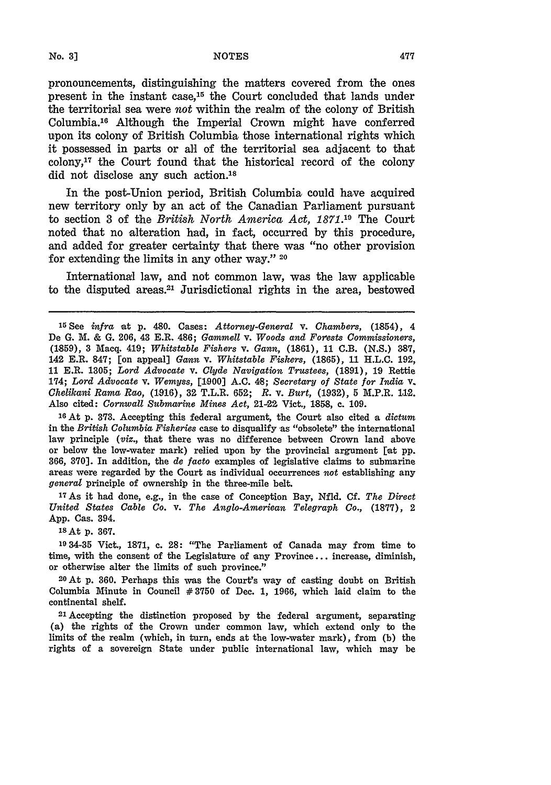pronouncements, distinguishing the matters covered from the ones present in the instant case, 15 the Court concluded that lands under the territorial sea were not within the realm of the colony of British Columbia.<sup>16</sup> Although the Imperial Crown might have conferred upon its colony of British Columbia those international rights which it possessed in parts or all of the territorial sea adjacent to that  $\text{colony},^{17}$  the Court found that the historical record of the colony did not disclose any such action.<sup>18</sup>

In the post-Union period, British Columbia could have acquired new territory only **by** an act of the Canadian Parliament pursuant to section **3** of the *British North America Act, 1871.19* The Court noted that no alteration had, in fact, occurred by this procedure, and added for greater certainty that there was "no other provision for extending the limits in any other way." **<sup>20</sup>**

International law, and not common law, was the law applicable to the disputed areas.21 Jurisdictional rights in the area, bestowed

**<sup>16</sup>**At p. **373.** Accepting this federal argument, the Court also cited a *dictum* in the *British Columbia Fisheries* case to disqualify as "obsolete" the international law principle *(viz.,* that there was no difference between Crown land above or below the low-water mark) relied upon by the provincial argument [at pp. 366, **370].** In addition, the *de facto* examples of legislative claims to submarine areas were regarded by the Court as individual occurrences *not* establishing any *general* principle of ownership in the three-mile belt.

**<sup>17</sup>**As it had done, e.g., in the case of Conception Bay, Nfld. Cf. *The Direct United States Cable Co. v. The Anglo-American Telegraph Co.,* **(1877),** 2 App. Cas. 394.

18 At p. **367.**

**'9** 34-35 Vict., 1871, c. **28:** "The Parliament of Canada may from time to time, with the consent of the Legislature of any Province... increase, diminish, or otherwise alter the limits of such province."

2oAt p. 360. Perhaps this was the Court's way of casting doubt on British Columbia Minute in Council **#3750** of Dec. 1, 1966, which laid claim to the continental shelf.

21Accepting the distinction proposed by the federal argument, separating (a) the rights of the Crown under common law, which extend only to the limits of the realm (which, in turn, ends at the low-water mark), from (b) the rights of a sovereign State under public international law, which may be

*No.* **3]**

**<sup>15</sup>**See *infra* at **p.** 480. Cases: *Attorney-General v. Chambers,* (1854), 4 De G. M. & G. 206, 43 E.R. 486; *Gammell* v. *Woods and Forests Commissioners,* (1859), 3 Macq. 419; *Whitstable Fishers* v. *Gann,* (1861), 11 C.B. (N.S.) 387, 142 E.R. 847; [on appeal] *Gann* v. *Whitstable Fishers,* (1865), **11** H.L.C. 192, 11 E.R. 1305; *Lord Advocate v. Clyde Navigation Trustees,* (1891), 19 Rettie 174; *Lord Advocate v. Wemyss,* [1,900] **A.C.** 4.8; *Secretary of State for India* **V.** *Chelikani Rama Rao,* **(1916), 32** T.L.R. 652; *R.* v. *Burt,* **(1932), 5** M.P.R. 112. Also cited: *Cornwall Submarine Mines Act,* 21-22 Vict., **1858,** c. 109.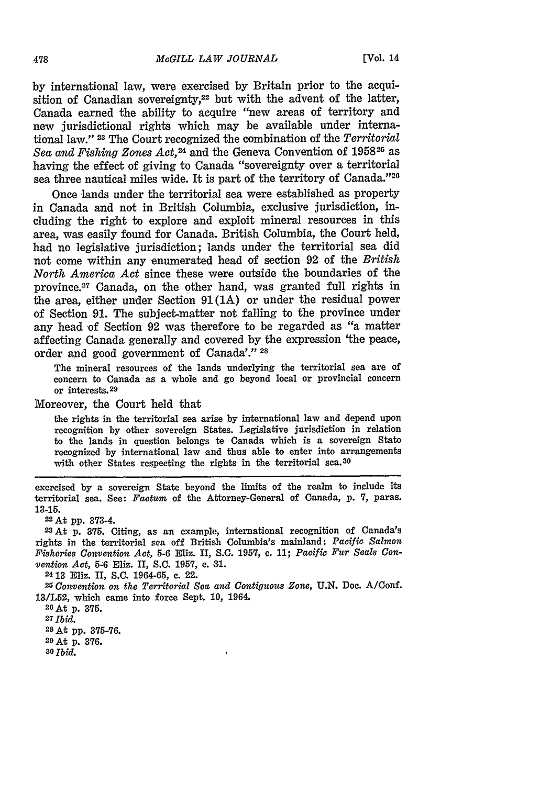by international law, were exercised by Britain prior to the acquisition of Canadian sovereignty,<sup>22</sup> but with the advent of the latter, Canada earned the ability to acquire "new areas of territory and new jurisdictional rights which may be available under international law." **23** The Court recognized the combination of the *Territorial Sea and Fishing Zones Act, <sup>24</sup>*and the Geneva Convention of 195825 as having the effect of giving to Canada "sovereignty over a territorial sea three nautical miles wide. It is part of the territory of Canada."<sup>26</sup>

Once lands under the territorial sea were established as property in Canada and not in British Columbia, exclusive jurisdiction, including the right to explore and exploit mineral resources in this area, was easily found for Canada. British Columbia, the Court held, had no legislative jurisdiction; lands under the territorial sea did not come within any enumerated head of section 92 of the *British North America Act* since these were outside the boundaries of the province.27 Canada, on the other hand, was granted full rights in the area, either under Section **91 (1A)** or under the residual power of Section 91. The subject-matter not falling to the province under any head of Section 92 was therefore to be regarded as "a matter affecting Canada generally and covered by the expression 'the peace, order and good government of Canada'." **<sup>28</sup>**

The mineral resources of the lands underlying the territorial sea are of concern to Canada as a whole and go beyond local or provincial concern or interests.<sup>29</sup>

Moreover, the Court held that

the rights in the territorial sea arise **by** international law and depend upon recognition **by** other sovereign States. Legislative jurisdiction in relation to the lands in question belongs to Canada which is a sovereign State recognized **by** international law and thus able to enter into arrangements with other States respecting the rights in the territorial sca.<sup>30</sup>

exercised **by** a sovereign State beyond the limits of the realm to include its territorial sea. See: *Factum* of the Attorney-General of Canada, **p.** 7, paras. **13-15.**

22At **pp. 373-4.**

**23At p. 375.** Citing, as an example, international recognition of Canada's rights in the territorial sea off British Columbia's mainland: *Pacific Salmon Fisheries Convention Act,* **5-6** Eliz. II, S.C. **1957,** c. **11;** *Pacific Fur Seals Convention Act,* **5-6** Eliz. II, **S.C. 1957,** c. 31.

**<sup>24</sup>13** Eliz. II, S.C. 1964-65, c. 22. *<sup>2</sup> 5 Convention on the Territorial Sea and Contiguous Zone,* **U.N.** Doc. A/Conf. **13/L52,** which came into force Sept. **10,** 1964.

**<sup>26</sup>**At p. 375. **<sup>27</sup>***Ibid.* 28 At **pp. 375-76. 29 At** p. 376. **3o** Ibid.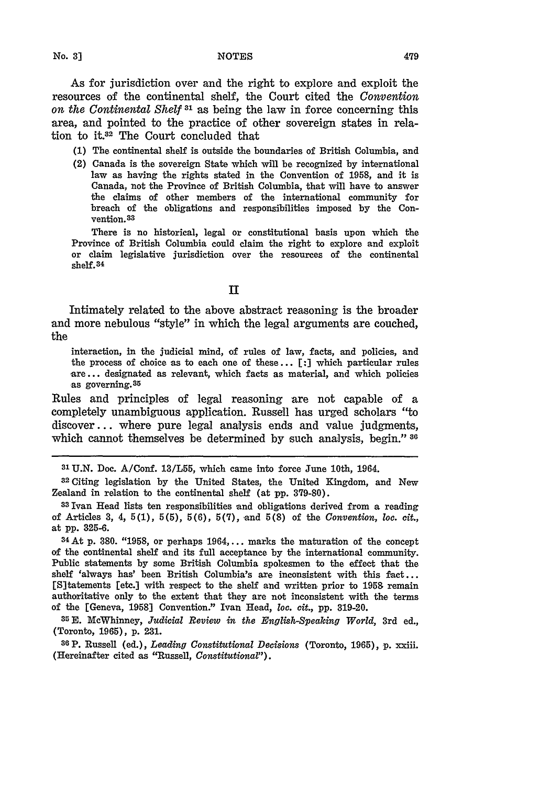As for jurisdiction over and the right to explore and exploit the resources of the continental shelf, the Court cited the *Convention on the Continental Shelf 31* as being the law in force concerning this area, and pointed to the practice of other sovereign states in relation to it.<sup>32</sup> The Court concluded that

**(1)** The continental shelf is outside the boundaries of British Columbia, and

(2) Canada is the sovereign State which will be recognized by international law as having the rights stated in the Convention of 1958, and it is Canada, not the Province of British Columbia, that will have to answer the claims of other members of the international community for breach of the obligations and responsibilities imposed by the Convention.<sup>83</sup>

There is no historical, legal or constitutional basis upon which the Province of British Columbia could claim the right to explore and exploit or claim legislative jurisdiction over the resources of the continental shelf.<sup>34</sup>

## **II**

Intimately related to the above abstract reasoning is the broader and more nebulous "style" in which the legal arguments are couched, the

interaction, in the judicial mind, of rules of law, facts, and policies, and the process of choice as to each one of these... **[:]** which particular rules **are...** designated as relevant, which facts as material, and which policies as governing. 35

Rules and principles of legal reasoning are not capable of a completely unambiguous application. Russell has urged scholars "to discover... where pure legal analysis ends and value judgments, which cannot themselves be determined **by** such analysis, begin." **<sup>30</sup>**

**3' U.N.** Doc. A/Conf. **13/L55,** which came into force June 10th, 1964. **<sup>3</sup> <sup>2</sup>**Citing legislation **by** the United States, the United Kingdom, and New Zealand in relation to the continental shelf (at **pp. 379-80).**

**331van** Head lists ten responsibilities and obligations derived from a reading of Articles **3,** 4, **5(1), 5(5), 5(6),** 5(7), and **5(8)** of the *Convention, loo. cit.,* at **pp.** 325-6.

**<sup>34</sup>**At p. 380. **"1958,** or perhaps **1964,...** marks the maturation of the concept of the continental shelf and its full acceptance **by** the international community. Public statements **by** some British Columbia spokesmen to the effect that the shelf 'always has' been British Columbia's are inconsistent with this **fact...** [S]tatements [etc.] with respect to the shelf and written prior to **1959** remain authoritative only to the extent that they are not inconsistent with the terms of the [Geneva, **1958]** Convention." Ivan Head, *loc. cit.,* **pp. 319-20.**

**<sup>35</sup>**McWhinney, *Judicial Review in the English-Speaking World,* 3rd ed., (Toronto, 1965), p. **231.**

**386P.** Russell (ed.), *Leading Constitutional Decisions* (Toronto, 1965), p. xxiii. (Hereinafter cited as "Russell, *Constitutional").*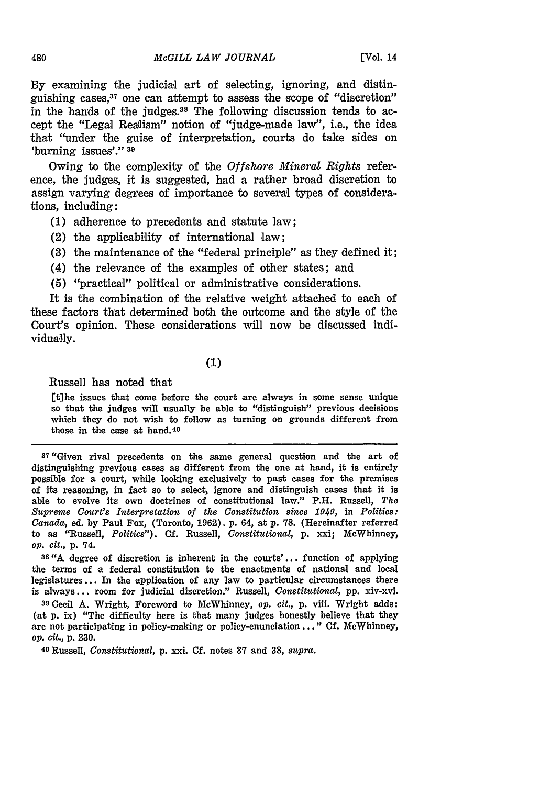By examining the judicial art of selecting, ignoring, and distinguishing cases, 37 one can attempt to assess the scope of "discretion" in the hands of the judges.38 The following discussion tends to accept the "Legal Realism" notion of "judge-made law", i.e., the idea that "under the guise of interpretation, courts do take sides on 'burning issues'." **<sup>39</sup>**

Owing to the complexity of the *Offshore Mineral Rights* reference, the judges, it is suggested, had a rather broad discretion to assign varying degrees of importance to several types of considerations, including:

- (1) adherence to precedents and statute law;
- (2) the applicability of international law;
- **(3)** the maintenance of the "federal principle" as they defined it;
- (4) the relevance of the examples of other states; and
- **(5)** "practical" political or administrative considerations.

It is the combination of the relative weight attached to each of these factors that determined both the outcome and the style of the Court's opinion. These considerations will now be discussed individually.

# **(1)**

Russell has noted that

[t]he issues that come before the court are always in some sense unique so that the judges will usually be able to "distinguish" previous decisions which they do not wish to follow as turning on grounds different from those in the case at hand. <sup>40</sup>

**37"Given** rival precedents on the same general question and the art of distinguishing previous cases as different from the one at hand, it is entirely possible for a court, while looking exclusively to past cases for the premises of its reasoning, in fact so to select, ignore and distinguish cases that it is able to evolve its own doctrines of constitutional law." P.H. Russell, *The Supreme Court's Interpretation of the Constitution since 1949,* in *Politics: Canada,* ed. by Paul Fox, (Toronto, 196Z), p. 64, at p. **78.** (Hereinafter referred to as "Russell, *Politics").* **Cf.** Russell, *Constitutional,* p. xxi; McWhinney, *op. cit.,* **p.** 74.

**38"A** degree of discretion is inherent in the courts'... function of applying the terms of a federal constitution to the enactments of national and local legislatures... In the application of any law to particular circumstances there is always... room for judicial discretion." Russell, *Constitutional,* pp. xiv-xvi.

**<sup>39</sup>**Cecil A. Wright, Foreword to McWhinney, *op. cit.,* p. viii. Wright adds: (at p. ix) "The difficulty here is that many judges honestly believe that they are not participating in policy-making or policy-enunciation..." Cf. MeWhinney, *op. cit.,* p. **230.**

<sup>40</sup> Russell, *Constitutional,* p. xxi. Cf. notes **37** and **38,** *supra.*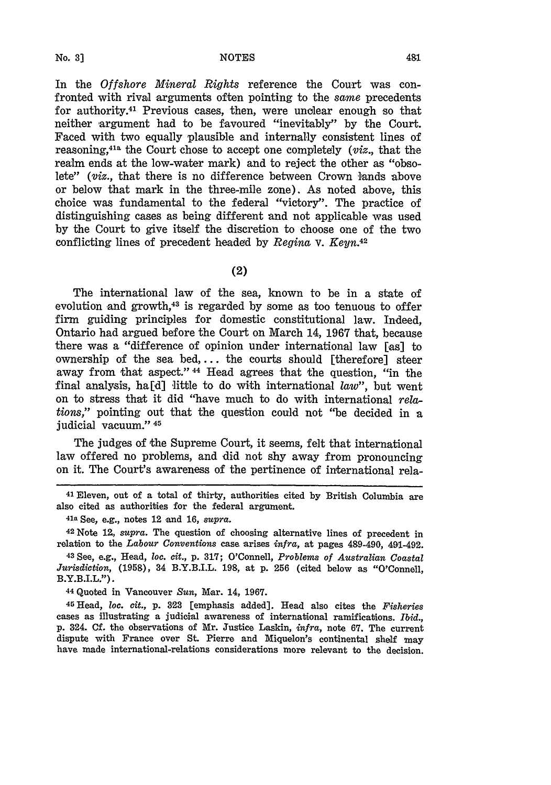In the *Offshore Mineral Rights* reference the Court was confronted with rival arguments often pointing to the *same* precedents for authority.41 Previous cases, then, were unclear enough so that neither argument had to be favoured "inevitably" by the Court. Faced with two equally plausible and internally consistent lines of reasoning,41a the Court chose to accept one completely *(viz.,* that the realm ends at the low-water mark) and to reject the other as "obsolete" *(viz.,* that there is no difference between Crown lands above or below that mark in the three-mile zone). As noted above, this choice was fundamental to the federal "victory". The practice of distinguishing cases as being different and not applicable was used by the Court to give itself the discretion to choose one of the two conflicting lines of precedent headed by *Regina* v. *Keyn.42*

(2)

The international law of the sea, known to be in a state of evolution and growth,<sup>43</sup> is regarded by some as too tenuous to offer firm guiding principles for domestic constitutional law. Indeed, Ontario had argued before the Court on March 14, 1967 that, because there was a "difference of opinion under international law [as] to ownership of the sea bed,... the courts should [therefore] steer away from that aspect." 44 Head agrees that the question, "in the final analysis, ha[d] little to do with international *law",* but went on to stress that it did "have much to do with international *relations,"* pointing out that the question could not "be decided in a judicial vacuum." 45

The judges of the Supreme Court, it seems, felt that international law offered no problems, and did not shy away from pronouncing on it. The Court's awareness of the pertinence of international rela-

41 Eleven, out of a total of thirty, authorities cited by British Columbia are also cited as authorities for the federal argument.

<sup>41a</sup> See, e.g., notes 12 and 16, *supra*.

<sup>42</sup> Note 12, supra. The question of choosing alternative lines of precedent in relation to the *Labour Conventions* case arises *infra,* at pages 489-490, 491-492.

**<sup>43</sup>**See, e.g., Head, *loc. cit.,* p. 317; O'Connell, *Problems of Australian Coastal Jurisdiction,* (1958), 34 B.Y.B.I.L. 198, at p. **256** (cited below as "O'Connell, B.Y.B.I.L.").

**<sup>44</sup>**Quoted in Vancouver *Sun,* Mar. 14, 1967.

**<sup>45</sup>**Head, *loc. cit.,* p. **3,23** [emphasis added]. Head also cites the *Fisheries* cases as illustrating a judicial awareness of international ramifications. *Ibid.,* p. 324. **Cf.** the observations of Mr. Justice Laskin, *infra,* note **67.** The current dispute with France over St. Pierre and Miquelon's continental shelf may have made international-relations considerations more relevant to the decision.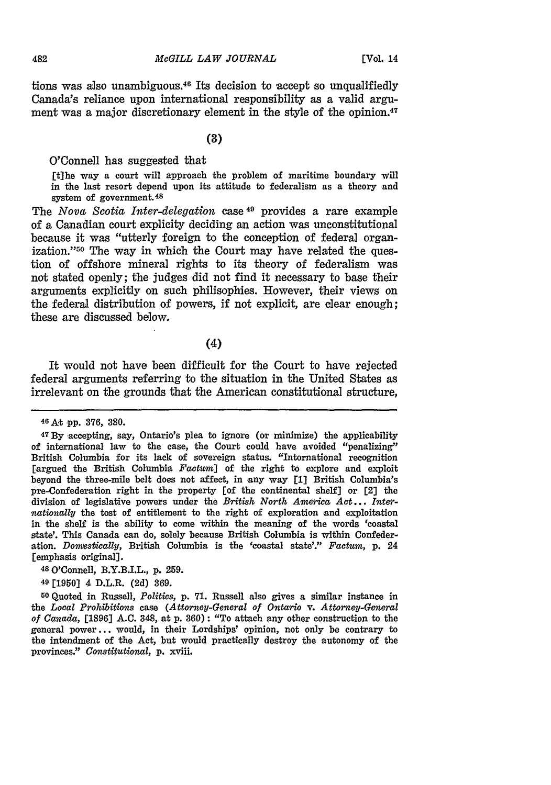tions was also unambiguous.40 Its decision to accept so unqualifiedly Canada's reliance upon international responsibility as a valid argument was a major discretionary element in the style of the opinion.<sup>47</sup>

**(3)**

O'Connell has suggested that

[tihe way a court will approach the problem of maritime boundary will in the last resort depend upon its attitude to federalism as a theory and system of government. <sup>48</sup>

The *Nova Scotia Inter-delegation* case 49 provides a rare example of a Canadian court explicity deciding an action was unconstitutional because it was "utterly foreign to the conception of federal organization."50 The way in which the Court may have related the question of offshore mineral rights to its theory of federalism was not stated openly; the judges did not find it necessary to base their arguments explicitly on such philisophies. However, their views on the federal distribution of powers, if not explicit, are clear enough; these are discussed below.

(4)

It would not have been difficult for the Court to have rejected federal arguments referring to the situation in the United States as irrelevant on the grounds that the American constitutional structure,

**<sup>49</sup>**[1950] 4 D.L.R. (2d) 369.

**<sup>50</sup>**Quoted in Russell, *Politics,* p. **71.** Russell also gives a similar instance in the *Local Prohibitions* case *(Attorney-General of Ontario v. Attorney-General of Canada,* [1896] A.C. 348, at p. 360): "To attach any other construction to the general power... would, in their Lordships' opinion, not only be contrary to the intendment of the Act, but would practically destroy the autonomy of the provinces." *Constitutional,* p. xviii.

**<sup>46</sup>**At pp. **376, 380.**

**<sup>47</sup>By** accepting, say, Ontario's plea to ignore (or minimize) the applicability of international law to the case, the Court could have avoided "penalizing" British Columbia for its lack of sovereign status. "International recognition [argued the British Columbia Factum] of the right to explore and exploit beyond the three-mile belt does not affect, in any way **[1]** British Columbia's pre-Confederation right in the property [of the continental shelf] or [2] the division of legislative powers under the *British North America* Act... *Internationally* the tost of entitlement to the right of exploration and exploitation in the shelf is the ability to come within the meaning of the words 'coastal state'. This Canada can do, solely because British Columbia is within Confederation. *Domestically,* British Columbia is the 'coastal state'." *Factum,* p. 24 [emphasis original].

<sup>4</sup> <sup>8</sup> 0'Connell, B.Y.B.I.L., p. 259.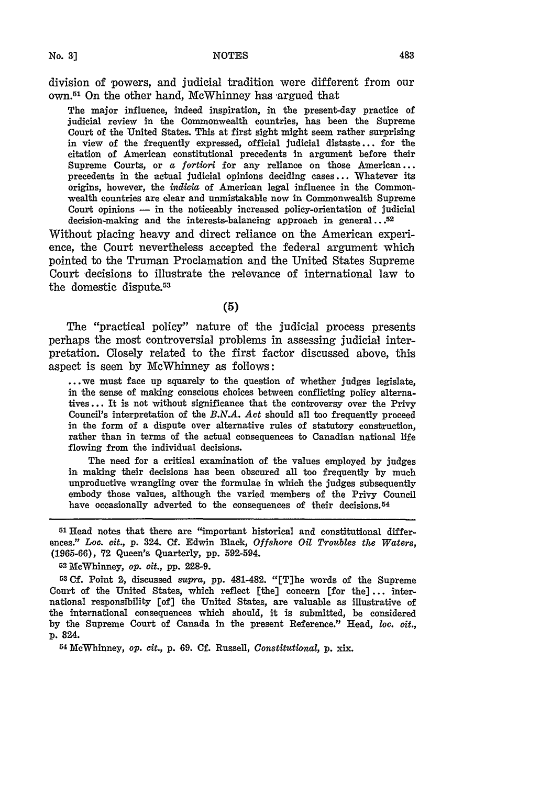division of powers, and judicial tradition were different from our **own.51** On the other hand, McWhinney has argued that

The major influence, indeed inspiration, in the present-day practice of judicial review in the Commonwealth countries, has been the Supreme Court of the United States. This at first sight might seem rather surprising in view of the frequently expressed, official judicial distaste **...** for the citation of American constitutional precedents in argument before their Supreme Courts, or a *fortiori* for any reliance on those American... precedents in the actual judicial opinions deciding cases **...** Whatever its origins, however, the *indicia* of American legal influence in the Commonwealth countries are clear and unmistakable now in Commonwealth Supreme Court opinions  $-$  in the noticeably increased policy-orientation of judicial decision-making and the interests-balancing approach in general...52

Without placing heavy and direct reliance on the American experience, the Court nevertheless accepted the federal argument which pointed to the Truman Proclamation and the United States Supreme Court decisions to illustrate the relevance of international law to the domestic dispute.53

**(5)**

The "practical policy" nature of the judicial process presents perhaps the most controversial problems in assessing judicial interpretation. Closely related to the first factor discussed above, this aspect is seen **by** McWhinney as follows:

**...** we must face up squarely to the question of whether judges legislate, in the sense of making conscious choices between conflicting policy alternatives **...** It is not without significance that the controversy over the Privy Council's interpretation of the *B.N.A. Act* should all too frequently proceed in the form of a dispute over alternative rules of statutory construction, rather than in terms of the actual consequences to Canadian national life flowing from the individual decisions.

The need for a critical examination of the values employed **by** judges in making their decisions has been obscured all too frequently **by** much unproductive wrangling over the formulae in which the judges subsequently embody those values, although the varied members of the Privy Council have occasionally adverted to the consequences of their decisions.<sup>54</sup>

**G1Head** notes that there are "important historical and constitutional differences." *Loc. cit.,* **p.** 324. **Cf.** Edwin Black, *Offshore Oil Troubles the Waters,* (1965-66), 72 Queen's Quarterly, pp. 592-594.

<sup>2</sup> MeWhinney, *op. cit.,* **pp.** 228-9.

**53 Cf.** Point 2, discussed *supra,* pp. 481-482. "[T]he words of the Supreme Court of the United States, which reflect [the] concern [for the] **...** international responsibility [of] the United States, are valuable as illustrative of the international consequences which should, it is submitted, be considered by the Supreme Court of Canada in the present Reference." Head, *loc. cit.,* p. 324.

<sup>54</sup> McWhinney, *op. cit.,* p. 69. **Cf.** Russell, *Constitutional,* p. xix.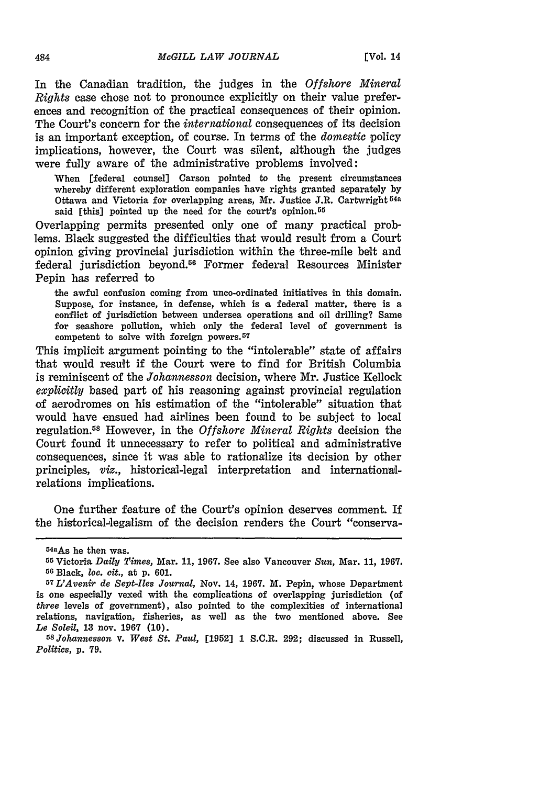In the Canadian tradition, the judges in the *Offshore Mineral Rights* case chose not to pronounce explicitly on their value preferences and recognition of the practical consequences of their opinion. The Court's concern for the *international* consequences of its decision is an important exception, of course. In terms of the *domestic* policy implications, however, the Court was silent, although the judges were fully aware of the administrative problems involved:

When [federal counsel] Carson pointed to the present circumstances whereby different exploration companies have rights granted separately by Ottawa and Victoria for overlapping areas, Mr. Justice J.R. Cartwright **64a** said [this] pointed up the need for the court's opinion.<sup>55</sup>

Overlapping permits presented only one of many practical problems. Black suggested the difficulties that would result from a Court opinion giving provincial jurisdiction within the three-mile belt and federal jurisdiction beyond.56 Former federal Resources Minister Pepin has referred to

the awful confusion coming from unco-ordinated initiatives in this domain. Suppose, for instance, in defense, which is a federal matter, there is a conflict of jurisdiction between undersea operations and oil drilling? Same for seashore pollution, which only the federal level of government is competent to solve with foreign powers. <sup>57</sup>

This implicit axgument pointing to the "intolerable" state of affairs that would result if the Court were to find for British Columbia is reminiscent of the *Johannesson* decision, where Mr. Justice Kellock *explicitly* based part of his reasoning against provincial regulation of aerodromes on his estimation of the "intolerable" situation that would have ensued had airlines been found to be subject to local regulation.5 " However, in the *Offshore Mineral Rights* decision the Court found it unnecessary to refer to political and administrative consequences, since it was able to rationalize its decision by other principles, *viz.,* historical-legal interpretation and internationalrelations implications.

One further feature of the Court's opinion deserves comment. If the historical-legalism of the decision renders the Court "conserva-

**<sup>54</sup>aAs** he then was.

**<sup>55</sup>**Victoria *Daily Times,* Mar. 11, 1967. See also Vancouver *Sun,* Mar. **11,** 1967. **<sup>56</sup>**Black, *loc. cit.,* at **p.** 601.

*<sup>57</sup> L'Avenir de Sept-Iles Journal,* Nov. 14, 1967. M. Pepin, whose Department is one especially vexed with the complications of overlapping jurisdiction (of *three* levels of government), also pointed to the complexities of international relations, navigation, fisheries, as well as the two mentioned above. See *Le Soleil,* **13** nov. 1967 (10).

*<sup>5</sup>SJohannesson v. West St. Paul,* [1952] 1 S.C.R. 292; discussed in Russell, *Politics, p.* **79.**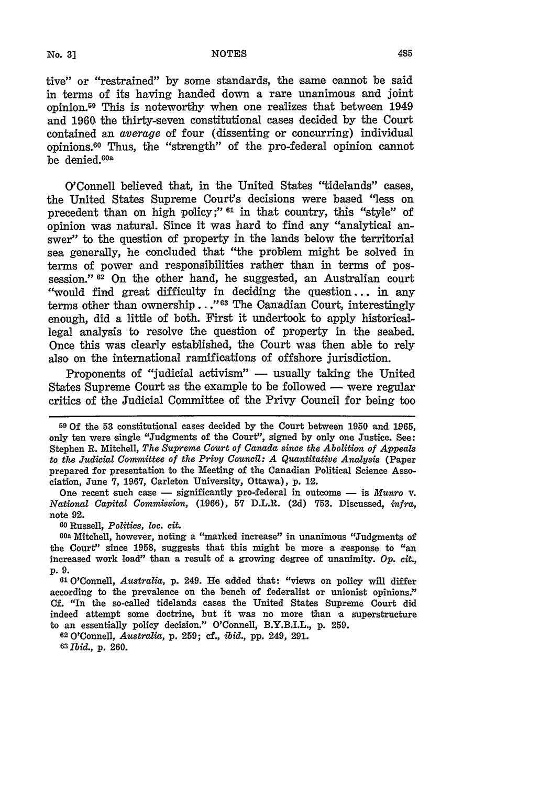tive" or "restrained" **by** some standards, the same cannot be said in terms of its having handed down a rare unanimous and joint opinion. 59 This is noteworthy when one realizes that between 1949 and **1960** the thirty-seven constitutional cases decided **by** the Court contained an average of four (dissenting or concurring) individual opinions.60 Thus, the "strength" of the pro-federal opinion cannot be denied.<sup>60a</sup>

O'Connell believed that, in the United States "tidelands" cases, the United States Supreme Court's decisions were based "less on precedent than on high policy;" <sup>61</sup> in that country, this "style" of opinion was natural. Since it was hard to find any "analytical answer" to the question of property in the lands below the territorial sea generally, he concluded that "the problem might be solved in terms of power and responsibilities rather than in terms of possession." **62** On the other hand, he suggested, an Australian court "would find great difficulty in deciding the question... in any terms other than ownership..."<sup>63</sup> The Canadian Court, interestingly enough, did a little of both. First it undertook to apply historicallegal analysis to resolve the question of property in the seabed. Once this was clearly established, the Court was then able to rely also on the international ramifications of offshore jurisdiction.

Proponents of "judicial activism" - usually taking the United States Supreme Court as the example to be followed  $-$  were regular critics of the Judicial Committee of the Privy Council for being too

One recent such case - significantly pro-federal in outcome - is *Munro* v. *National Capital Commission,* (1966), 57 D.L.R. (2d) 753. Discussed, *infra,* note 92.

**<sup>60</sup>**Russell, *Politics,* loc. *cit.*

**6oa** Mitchell, however, noting a "marked increase" in unanimous "Judgments of the Court" since 1958, suggests that this might be more a response to "an increased work load" than a result of a growing degree of unanimity. *Op. cit.,* p. 9.

**<sup>61</sup>**O'Connell, *Australia,* p. 249. He added that: "views on policy will differ according to the prevalence on the bench of federalist or unionist opinions." Cf. "In the so-called tidelands cases the United States Supreme Court did indeed attempt some doctrine, but it was no more than a superstructure to an essentially policy decision." O'Connell, B.Y.B.I.L., p. 259.

<sup>62</sup>O'Connell, *Australia,* p. 259; cf., *ibid.,* pp. 249, 291. **0** *Ibid.,* p. 260.

**<sup>59</sup>**Of the **53** constitutional cases decided **by** the Court between **1950** and **1965,** only ten were single "Judgments of the Court", signed **by** only one Justice. See: Stephen R. Mitchell, *The Supreme Court of Canada since the Abolition of Appeals to the Judicial Committee of the Privy Council: A Quantitative Analysis* (Paper prepared for presentation to the Meeting of the Canadian Political Science Association, June 7, 1967, Carleton University, Ottawa), p. 12.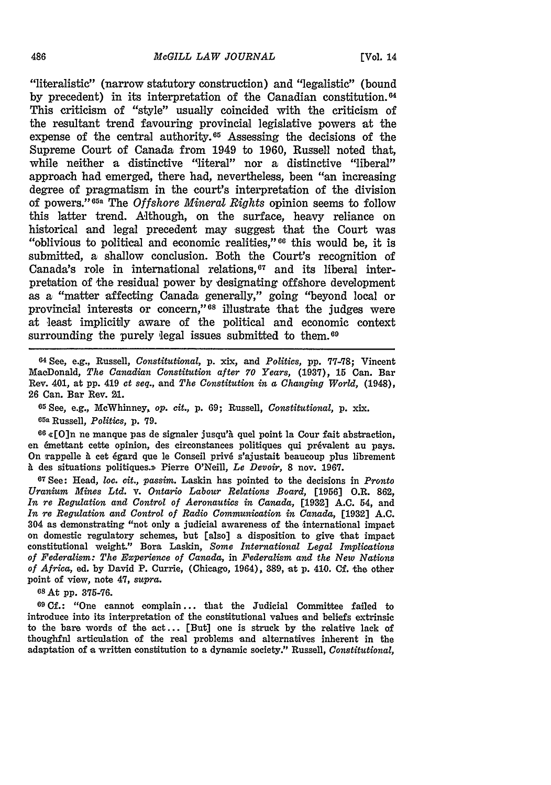"literalistic" (narrow statutory construction) and "legalistic" (bound by precedent) in its interpretation of the Canadian constitution.<sup>04</sup> This criticism of "style" usually coincided with the criticism of the resultant trend favouring provincial legislative powers at the expense of the central authority.<sup>65</sup> Assessing the decisions of the Supreme Court of Canada from 1949 to 1960, Russell noted that, while neither a distinctive "literal" nor a distinctive "liberal" approach had emerged, there had, nevertheless, been "an increasing degree of pragmatism in the court's interpretation of the division of powers."65a The *Offshore Mineral Rights* opinion seems to follow this latter trend. Although, on the surface, heavy reliance on historical and legal precedent may suggest that the Court was "oblivious to political and economic realities," $66$  this would be, it is submitted, a shallow conclusion. Both the Court's recognition of Canada's role in international relations, $67$  and its liberal interpretation of the residual power **by** designating offshore development as a "matter affecting Canada generally," going "beyond local or provincial interests or concern,"<sup>68</sup> illustrate that the judges were at least implicitly aware of the political and economic context surrounding the purely legal issues submitted to them.<sup>69</sup>

**<sup>64</sup>**See, e.g., Russell, *Constitutional,* p. xix, and *Politics,* **pp.** 77-78; Vincent MacDonald, *The Canadian Constitution after 70 Years,* **(1937), 15** Can. Bar Rev. 401, at **pp.** 419 *et seq.,* and *The Constitution in a Changing World,* (1948), 26 Can. Bar Rev. **21.**

**<sup>65</sup>**See, e.g., McWhinney, *op. cit.,* p. 69; Russell, *Constitutional,* **p.** xix. **65a** Russell, *Politics,* p. 79.

66 «[O]n ne manque pas de signaler jusqu'à quel point la Cour fait abstraction, en émettant cette opinion, des circonstances politiques qui prévalent au pays. On rappelle h cet 6gard que le Conseil priv6 s'ajustait beaucoup plus librement **A** des situations politiques.>> Pierre O'Neill, *Le Devoir,* **8** nov. 1967.

**<sup>67</sup>**See: Head, *loc. cit., passim.* Laskin has pointed to the decisions in *Pronto Uranium Mines Ltd.* v. *Ontario Labour Relations Board,* [1956] O.R. **862,** *In re Regulation and Control of Aeronautics in Canada,* **[1932] A.C.** 54, and *In re Regulation and Control of Radio Communication in Canada,* **[1982] A.C.** 304 as demonstrating "not only a judicial awareness of the international impact on domestic regulatory schemes, but [also] a disposition to give that impact constitutional weight." Bora Laskin, *Some International Legal Implications of Federalism: The Experience of Canada,* in *Federalism and the New Nations of Africa,* ed. by David P. Currie, (Chicago, 1964), 389, at **p.** 410. Cf. ,the other point of view, note 47, *supra.*

GsAt **pp. 375-76.**

**69 Cf.:** "One cannot complain... that the Judicial Committee failed to introduce into its interpretation of the constitutional values and beliefs extrinsic to the bare words of the act... [But] one is struck by the relative lack of thoughful articulation of the real problems and alternatives inherent in the adaptation of a written constitution to a dynamic society." Russell, *Constitutional,*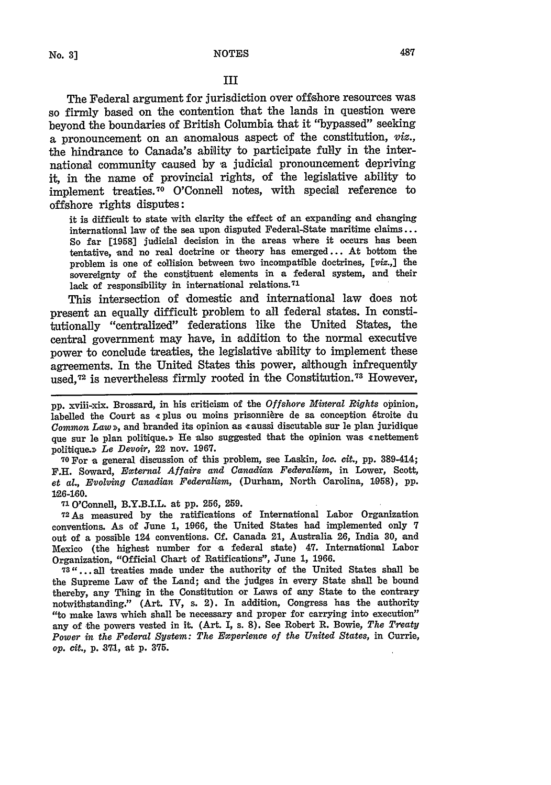### III

The Federal argument for jurisdiction over offshore resources was so firmly based on the contention that the lands in question were beyond the boundaries of British Columbia that it "bypassed" seeking a pronouncement on an anomalous aspect **of** the constitution, *viz.,* the hindrance to Canada's ability to participate fully in the international community caused by a judicial pronouncement depriving it, in the name of provincial rights, of the legislative ability to implement treaties. 70 O'Connell notes, with special reference to offshore rights disputes:

it is difficult to state with clarity the effect of an expanding and changing international law of the sea upon disputed Federal-State maritime claims... So far **[1958]** judicial decision in the areas where it occurs has been tentative, and no real doctrine or theory has emerged **...** At bottom the problem is one of collision between two incompatible doctrines, [viz.,] the sovereignty of the constituent elements in a federal system, and their lack of responsibility in international relations. <sup>71</sup>

This intersection of domestic and international law does not present an equally difficult problem to all federal states. In constitutionally "centralized" federations like the United States, the central government may have, in addition to the normal executive power to conclude treaties, the legislative ability to implement these agreements. In the United States this power, although infrequently used, 72 is nevertheless firmly rooted in the Constitution. 73 However,

pp. xviii-xix. Brossard, in his criticism of the *Offshore Mineral Rights* opinion, labelled the Court as « plus ou moins prisonnière de sa conception étroite du *Common Law »*, and branded its opinion as «aussi discutable sur le plan juridique que sur le plan politique.» He also suggested that the opinion was «nettement politique.» Le Devoir, 22 nov. 1967.

**70For** a general discussion of this problem, see Laskin, loc. *cit.,* **pp.** 389-414; F.H. Soward, *External Affairs and Canadian Federalism,* in Lower, Scott, *et al., Evolving Canadian Federalism,* (Durham, North Carolina, 1058), pp. 126-180.

**<sup>71</sup>**O'Connell, B.Y.B.I.L. at pp. 256, 259.

**72As** measured by the ratifications of International Labor Organization conventions. As of June 1, 1966, the United States had implemented only 7 out of a possible 124 conventions. Cf. Canada 21, Australia 26, India 30, and Mexico (the highest number for a federal state) 47. International Labor Organization, "Official Chart of Ratifications", June 1, 1966.

**73"** ... all treaties made under the authority of the United States shall be the Supreme Law of the Land; and the judges in every State shall be bound thereby, any Thing in the Constitution or Laws of any State to the contrary notwithstanding." (Art. IV, s. 2). In addition, Congress has the authority "to make laws which shall be necessary and proper for carrying into execution" any of the powers vested in it. (Art. *I,* s. **8).** See Robert R. Bowie, *The Treaty Power in the Federal System: The Experience of the United States,* in Currie, *op. cit.,* **p. 371,** at **p. 375.**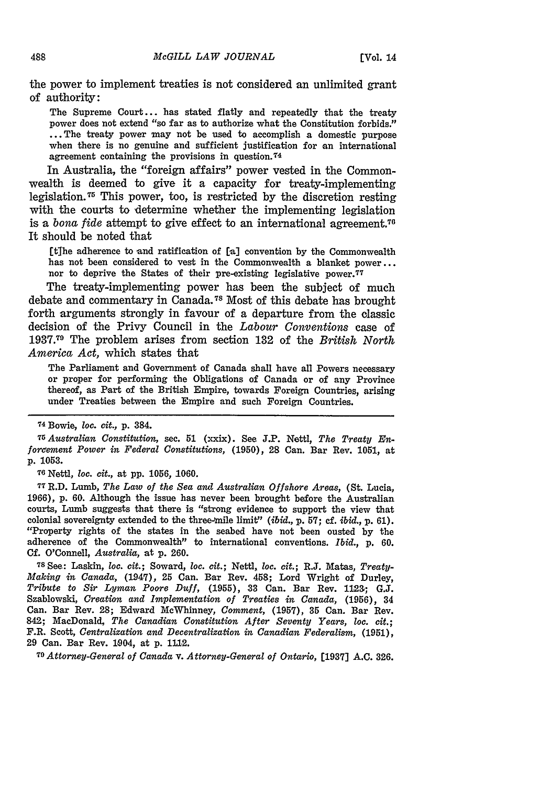the power to implement treaties is not considered an unlimited grant of authority:

The Supreme Court... has stated flatly and repeatedly that the treaty power does not extend "so far as to authorize what the Constitution forbids." ... The treaty power may not be used to accomplish a domestic purpose when there is no genuine and sufficient justification for an international agreement containing the provisions in question. <sup>74</sup>

In Australia, the "foreign affairs" power vested in the Commonwealth is deemed to give it a capacity for treaty-implementing legislation.<sup> $\tau$ </sup> This power, too, is restricted by the discretion resting with the courts to determine whether the implementing legislation is *a bona fide* attempt to give effect to an international agreement.70 It should be noted that

[tihe adherence to and ratification of [a] convention by the Commonwealth has not been considered to vest in the Commonwealth a blanket power... nor to deprive the States of their pre-existing legislative power. <sup>77</sup>

The treaty-implementing power has been the subject of much debate and commentary in Canada.<sup>78</sup> Most of this debate has brought forth arguments strongly in favour of a departure from the classic decision of the Privy Council in the *Labour Conventions* case of **1937.<sup>79</sup>**The problem arises from section 132 of the *British North America Act,* which states that

The Parliament and Government of Canada shall have all Powers necessary or proper for performing the Obligations of Canada or of any Province thereof, as Part of the British Empire, towards Foreign Countries, arising under Treaties between the Empire and such Foreign Countries.

*75Australian Constitution,* sec. **51** (xxix). See **J.P.** Nettl, *The Treaty Enforeement Power in Federal Constitutions,* **(1950),** 28 Can. Bar Rev. **1051,** at **p. 1053.**

**<sup>76</sup>**Nettl, loc. *cit.,* at **pp. 1056, 1060.**

**77 R.D.** Lumb, *The Law of the Sea and Australian Offshore Areas,* (St. Lucia, **1966), p. 60.** Although the issue has never been brought before the Australian courts, Lumb suggests that there is "strong evidence to support the view that colonial sovereignty extended to the three-mile limit" *(ibid., p. 57; cf. ibid., p. 61).* "Property rights of the states in the seabed have not been ousted **by** the adherence of the Commonwealth" to international conventions. *Ibid.,* **p. 60. Cf.** O'Connell, *Australia,* at **p.** 260.

<sup>7</sup> <sup>8</sup> See: Laskin, loc. *cit.;* Soward, loc. *cit.;* Nettl, *too. cit.;* R.J. Matas, *Treaty-Making in Canada,* (1947), 25 Can. Bar Rev. 458; Lord Wright of Durley, *Tribute to Sir Lyman Poore Duff,* (1955), **33** Can. Bar Rev. **1123;** G.J. Szablowski, *Creation and Implementation of Treaties in Canada,* (1956), 34 Can. Bar Rev. **28;** Edward McWhinney, *Comment,* (1957), **35** Can. Bar Rev. 842; MacDonald, *The Canadian Constitution After Seventy Years, loc. cit.;* F.R. Scott, *Centralization and Decentralization in Canadian Federalism,* **(1951),** 29 Can. Bar Rev. 1904, at p. 1112.

**<sup>79</sup>***Attorney-General of Canada* v. *Attorney-General of Ontario,* **[1937] A.C. 326.**

**<sup>74</sup>**Bowie, loc. *cit.,* p. 384.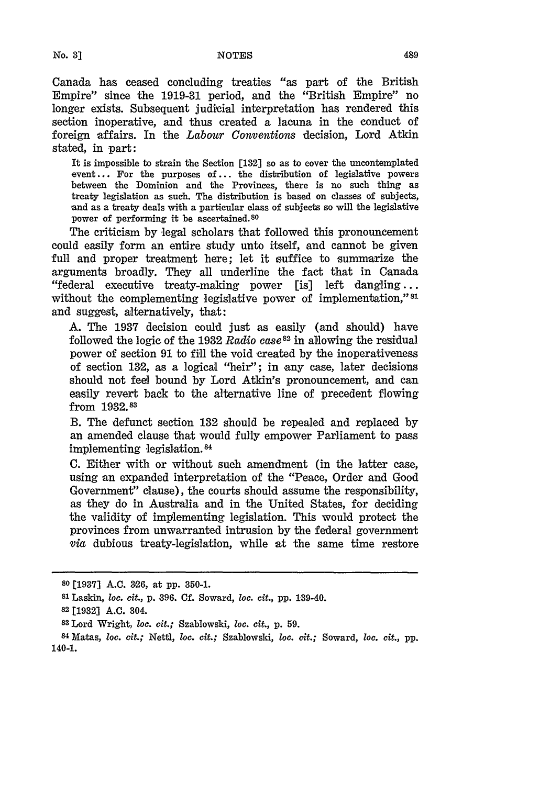**No. 3]**

Canada has ceased concluding treaties "as part of the British Empire" since the **1919-31** period, and the "British Empire" no longer exists. Subsequent judicial interpretation has rendered this section inoperative, and thus created a lacuna in the conduct of foreign affairs. In the *Labour Conventions* decision, Lord Atkin stated, in part:

It is impossible to strain the Section [132] so as to cover the uncontemplated event... For the purposes of... the distribution of legislative powers between the Dominion and the Provinces, there is no such thing as treaty legislation as such. The distribution is based on classes of subjects, and as a treaty deals with a particular class of subjects so will the legislative power of performing it be ascertained.80

The criticism by legal scholars that followed this pronouncement could easily form an entire study unto itself, and cannot be given full and proper treatment here; let it suffice to summarize the arguments broadly. They all underline the fact that in Canada "federal executive treaty-making power [is] left dangling... without the complementing legislative power of implementation," 81 and suggest, alternatively, that:

**A.** The **1937** decision could just as easily (and should) have followed the logic of the 1932 *Radio case82* in allowing the residual power of section **91** to fill the void created by the inoperativeness of section 132, as a logical "heir"; in any case, later decisions should not feel bound by Lord Atkin's pronouncement, and can easily revert back to the alternative line of precedent flowing from **1932.83**

B. The defunct section 132 should be repealed and replaced by an amended clause that would fully empower Parliament to pass implementing legislation.<sup>84</sup>

C. Either with or without such amendment (in the latter case, using an expanded interpretation of the "Peace, Order and Good Government" clause), the courts should assume the responsibility, as they do in Australia and in the United States, for deciding the validity of implementing legislation. This would protect the provinces from unwarranted intrusion by the federal government *via* dubious treaty-legislation, while at the same time restore

**<sup>80</sup>**[1937] A.C. **326,** at pp. 350-1.

**<sup>81</sup>**Laskin, loc. *cit.,* p. 396. Cf. Soward, loc. *cit.,* pp. 139-40.

**<sup>82 [19321</sup>** A.C. 304.

**<sup>83</sup>**Lord Wright, loc. *cit.;* Szablowski, loc. *cit.,* p. 59.

**<sup>84</sup>**Matas, loc. *cit.;* Nettl, loc. *cit.;* Szablowski, loc. *cit.;* Soward, loc. *cit.,* pp. 140-1.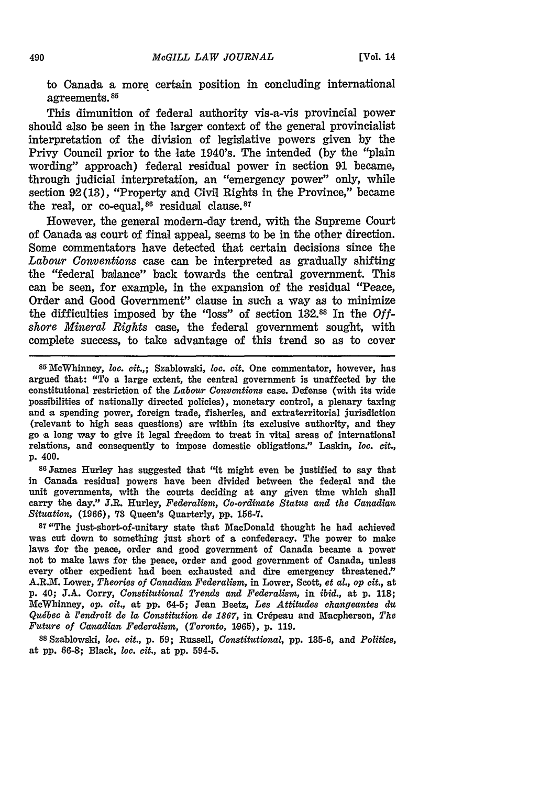to Canada a more certain position in concluding international agreements **85**

This dimunition of federal authority vis-a-vis provincial power should also be seen in the larger context of the general provincialist interpretation of the division of legislative powers given **by** the Privy Council prior to the late 1940's. The intended **(by** the "plain wording" approach) federal residual power in section **91** became, through judicial interpretation, an "emergency power" only, while section **92(13),** "Property and Civil Rights in the Province," became the real, or co-equal,  $86$  residual clause.  $87$ 

However, the general modern-day trend, with the Supreme Court of Canada as court of final appeal, seems to be in the other direction. Some commentators have detected that certain decisions since the *Labour Conventions* case can be interpreted as gradually shifting the "federal balance" back towards the central government. This can be seen, for example, in the expansion of the residual "Peace, Order and Good Government" clause in such a way as to minimize the difficulties imposed by the "loss" of section 132.88 In the *Offshore Mineral Rights* case, the federal government sought, with complete success, to take advantage of this trend so as to cover

**86James** Hurley has suggested that "it might even be justified to say that in Canada residual powers have been divided between the federal and the unit governments, with the courts deciding at any given time which shall carry the day." J.R. Hurley, *Federalism, Co-ordinate Status and the Canadian Situation,* (1966), **73** Queen's Quarterly, pp. 156-7.

**87"The** just-short-of-unitary state that MacDonald thought he had achieved was cut down to something just short of a confederacy. The power to make laws for the peace, order and good government of Canada became **a** power not to make laws for the peace, order and good government of Canada, unless every other expedient had been exhausted and dire emergency threatened." A.R.M. Lower, *Theories of Canadian Federalism,* in Lower, Scott, *et al., op cit.,* at **p. 40; J.A.** Corry, *Constitutional Trends and Federalism,* in *ibid.,* at **p. 118;** McWhinney, *op. cit.,* at **pp.** 64-5; Jean Betz, Les *Attitudes changeantes du Qudbec d l'endroit de* la *Constitution de 1867,* in Cr6peau and Macpherson, *The Future of Canadian Federalism, (Toronto,* **1065),** p. 119.

**<sup>88</sup>**Szablowski, *loc. cit.,* **p. 59;** Russell, *Constitutional,* **pp.** 135-6, and *Politics,* at **pp.** 66-8; Black, loc. *cit.,* at pp. 594-5.

<sup>85</sup> McWhinney, loc. *cit.,;* Szablowski, loc. *cit.* One commentator, however, has argued that: "To a large extent, the central government is unaffected by the constitutional restriction of the *Labour Conventions* case. Defense (with its wide possibilities of nationally directed policies), monetary control, a plenary taxing and a spending power, foreign trade, fisheries, and extraterritorial jurisdiction (relevant to high seas questions) are within its exclusive authority, and they go a long way to give it legal freedom to treat in vital areas of international relations, and consequently to impose domestic obligations." Laskin, loc. *cit.,* p. 400.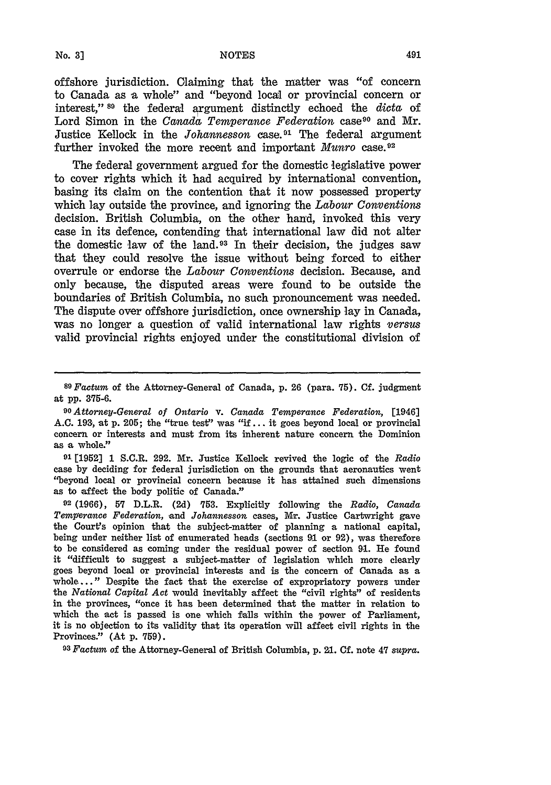offshore jurisdiction. Claiming that the matter was "of concern to Canada as a whole" and "beyond local or provincial concern or interest," **89** the federal argument distinctly echoed the *dicta* of Lord Simon in the *Canada Temperance Federation* case<sup>90</sup> and Mr. Justice Kellock in the *Johannesson* case. 91 The federal argument further invoked the more recent and important *Munro* case. <sup>92</sup>

The federal government argued for the domestic legislative power to cover rights which it had acquired **by** international convention, basing its claim on the contention that it now possessed property which lay outside the province, and ignoring the *Labour Conventions* decision. British Columbia, on the other hand, invoked this very case in its defence, contending that international law did not alter the domestic law of the land. 93 In their decision, the judges saw that they could resolve the issue without being forced to either overrule or endorse the *Labour Conventions* decision. Because, and only because, the disputed areas were found to be outside the boundaries of British Columbia, no such pronouncement was needed. The dispute over offshore jurisdiction, once ownership lay in Canada, was no longer a question of valid international law rights *versus* valid provincial rights enjoyed under the constitutional division of

**91 [1952] 1** S.C.R. **292.** Mr. Justice Kellock revived the logic of the *Radio* case **by** deciding for federal jurisdiction on the grounds that aeronautics went "beyond local or provincial concern because it has attained such dimensions as to effect the body politic of Canada."

**92 (1966), 57** D.L.R. **(2d) 753.** Explicitly following the *Radio, Canada Temperance Federation,* and *Johannesson* cases, Mr. Justice Cartwright gave the Court's opinion that the subject-matter of planning a national capital, being under neither list of enumerated heads (sections **9.1** or 92), was therefore to be considered as coming under the residual power of section 91. **He** found it "difficult to suggest a subject-matter of legislation which more clearly goes beyond local or provincial interests and is the concern of Canada as a whole..." Despite the fact that the exercise of expropriatory powers under the *National Capital Act* would inevitably affect the "civil rights" of residents in the provinces, "once it has been determined that the matter in relation to which the act is passed is one which falls within the power of Parliament, it is no objection to its validity that its operation will affect civil rights in the Provinces." (At p. **759).**

*<sup>9</sup> <sup>3</sup>Factum* of the Attorney-General of British Columbia, p. **21. Cf.** note 47 *supra.*

*<sup>8</sup> 9 Factum* of the Attorney-General of Canada, **p.** 26 (para. **75). Cf.** judgment at **pp. 375-6.**

*<sup>0</sup> Attorney-General of Ontario* v. *Canada Temperance Federation,* [1946] A.C. 193, at p. 205; the "true test" was "if... it goes beyond local or provincial concern or interests and must from its inherent nature concern the Dominion as a whole."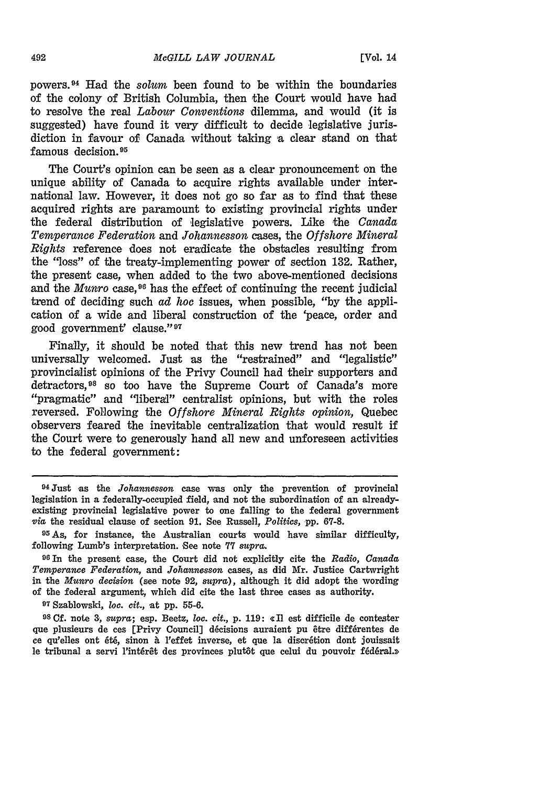powers. 94 Had the *solum* been found to be within the boundaries of the colony of British Columbia, then the Court would have had to resolve the real *Labour Conventions* dilemma, and would (it is suggested) have found it very difficult to decide legislative jurisdiction in favour of Canada without taking a clear stand on that famous decision. <sup>95</sup>

The Court's opinion can be seen as a clear pronouncement on the unique ability of Canada to acquire rights available under international law. However, it does not go so far as to find that these acquired rights are paramount to existing provincial rights under the federal distribution of legislative powers. Like the *Canada Temperance Federation* and *Johannesson* cases, the *Offshore Mineral Rights* reference does not eradicate the obstacles resulting from the "loss" of the treaty-implementing power of section 132. Rather, the present case, when added to the two above-mentioned decisions and the *Munro* case,<sup>96</sup> has the effect of continuing the recent judicial trend of deciding such *ad hoc* issues, when possible, "by the application of a wide and liberal construction of the 'peace, order and good government' clause." <sup>97</sup>

Finally, it should be noted that this new trend has not been universally welcomed. Just as the "restrained" and "legalistic" provincialist opinions of the Privy Council had their supporters and detractors,98 so too have the Supreme Court of Canada's more "pragmatic" and "liberal" centralist opinions, but with the roles reversed. Following the *Offshore Mineral Rights opinion,* Quebec observers feared the inevitable centralization that would result if the Court were to generously hand all new and unforeseen activities to the federal government:

**<sup>07</sup>**Szablowski, loc. *cit.,* -at **pp.** 55-6.

**<sup>98</sup>**Cf. note 3, *supra;* esp. Beetz, loc. cit., p. 119: c II est difficile de contester que plusieurs de ces [Privy Council] décisions auraient pu être différentes de ce qu'elles ont été, sinon à l'effet inverse, et que la discrétion dont jouissait le tribunal a servi l'intérêt des provinces plutôt que celui du pouvoir fédéral.»

<sup>94</sup> Just as the *Johannesson* case was only the prevention of provincial legislation in a federally-occupied field, and not the subordination of an alreadyexisting provincial legislative power to one falling to the federal government via the residual clause of section 91. See Russell, *Politics,* pp. **67-8.**

**<sup>95</sup>As,** for instance, the Australian courts would have similar difficulty, following Lumb's interpretation. **See** note **77** *supra.*

**<sup>96</sup>**In the present case, the Court did not explicitly cite the *Radio, Canada Temperance Federation,* and *Johannesson* cases, as did Mr. Justice Cartwright in the *Munro decision* (see note 92, *supra),* although it did adopt the wording of the federal argument, which did cite the last three cases as authority.